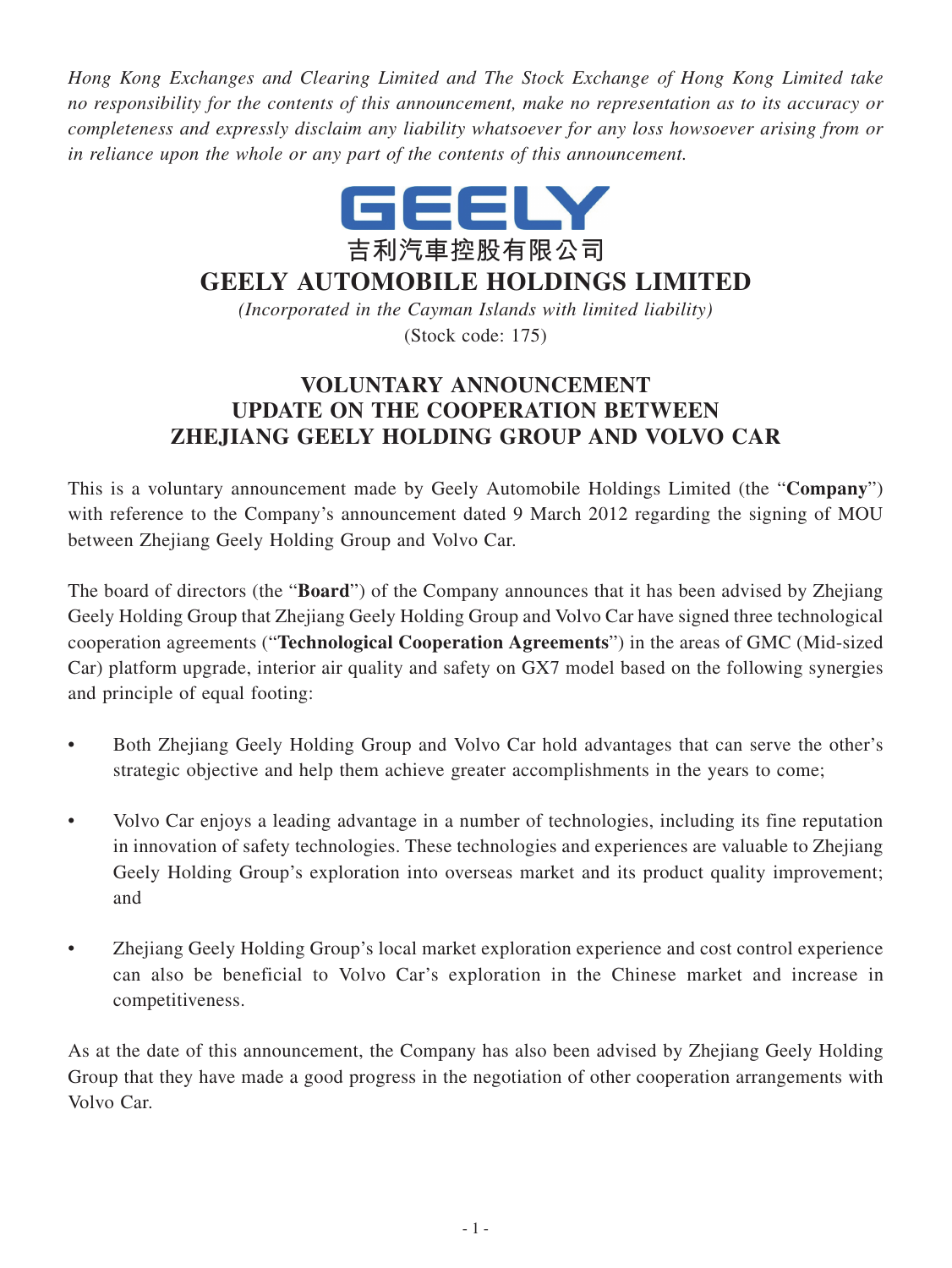*Hong Kong Exchanges and Clearing Limited and The Stock Exchange of Hong Kong Limited take no responsibility for the contents of this announcement, make no representation as to its accuracy or completeness and expressly disclaim any liability whatsoever for any loss howsoever arising from or in reliance upon the whole or any part of the contents of this announcement.*



## **GEELY AUTOMOBILE HOLDINGS LIMITED**

*(Incorporated in the Cayman Islands with limited liability)* (Stock code: 175)

## **VOLUNTARY ANNOUNCEMENT UPDATE ON THE COOPERATION BETWEEN ZHEJIANG GEELY HOLDING GROUP AND VOLVO CAR**

This is a voluntary announcement made by Geely Automobile Holdings Limited (the "**Company**") with reference to the Company's announcement dated 9 March 2012 regarding the signing of MOU between Zhejiang Geely Holding Group and Volvo Car.

The board of directors (the "**Board**") of the Company announces that it has been advised by Zhejiang Geely Holding Group that Zhejiang Geely Holding Group and Volvo Car have signed three technological cooperation agreements ("**Technological Cooperation Agreements**") in the areas of GMC (Mid-sized Car) platform upgrade, interior air quality and safety on GX7 model based on the following synergies and principle of equal footing:

- Both Zhejiang Geely Holding Group and Volvo Car hold advantages that can serve the other's strategic objective and help them achieve greater accomplishments in the years to come;
- Volvo Car enjoys a leading advantage in a number of technologies, including its fine reputation in innovation of safety technologies. These technologies and experiences are valuable to Zhejiang Geely Holding Group's exploration into overseas market and its product quality improvement; and
- Zhejiang Geely Holding Group's local market exploration experience and cost control experience can also be beneficial to Volvo Car's exploration in the Chinese market and increase in competitiveness.

As at the date of this announcement, the Company has also been advised by Zhejiang Geely Holding Group that they have made a good progress in the negotiation of other cooperation arrangements with Volvo Car.